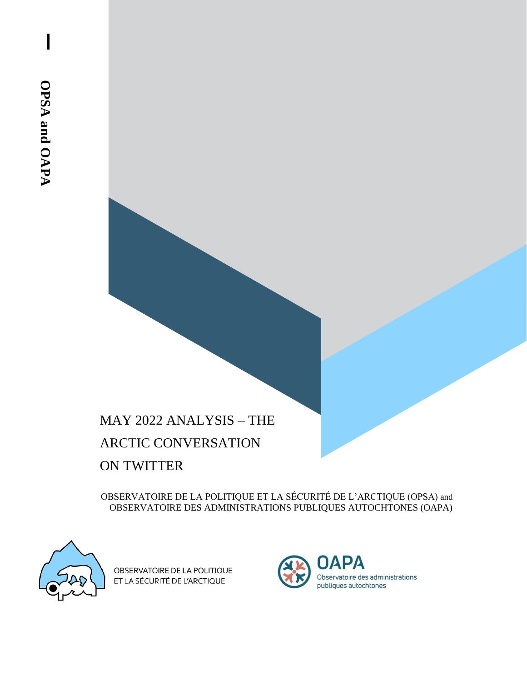# MAY 2022 ANALYSIS – THE ARCTIC CONVERSATION ON TWITTER

OBSERVATOIRE DE LA POLITIQUE ET LA SÉCURITÉ DE L'ARCTIQUE (OPSA) and OBSERVATOIRE DES ADMINISTRATIONS PUBLIQUES AUTOCHTONES (OAPA)



OBSERVATOIRE DE LA POLITIQUE ET LA SÉCURITÉ DE L'ARCTIQUE

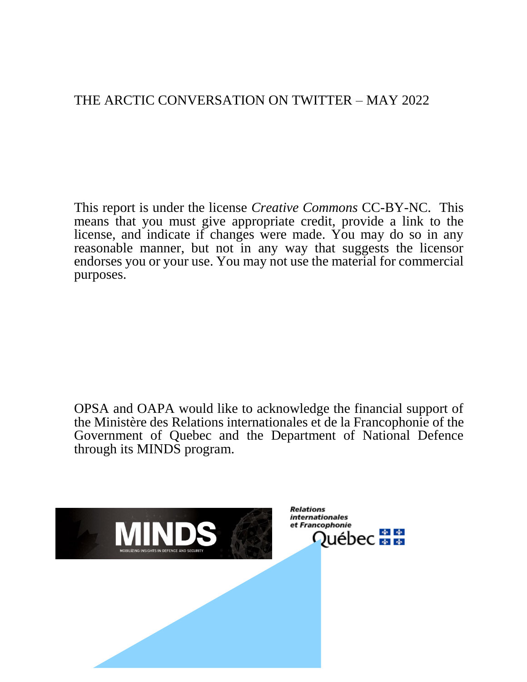## THE ARCTIC CONVERSATION ON TWITTER – MAY 2022

This report is under the license *Creative Commons* CC-BY-NC. This means that you must give appropriate credit, provide a link to the license, and indicate if changes were made. You may do so in any reasonable manner, but not in any way that suggests the licensor endorses you or your use. You may not use the material for commercial purposes.

OPSA and OAPA would like to acknowledge the financial support of the Ministère des Relations internationales et de la Francophonie of the Government of Quebec and the Department of National Defence through its MINDS program.

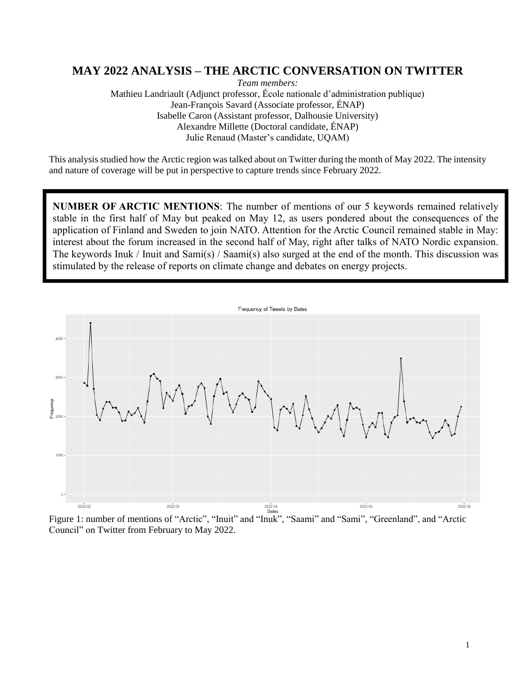## **MAY 2022 ANALYSIS – THE ARCTIC CONVERSATION ON TWITTER**

*Team members:*  Mathieu Landriault (Adjunct professor, École nationale d'administration publique) Jean-François Savard (Associate professor, ÉNAP) Isabelle Caron (Assistant professor, Dalhousie University) Alexandre Millette (Doctoral candidate, ÉNAP) Julie Renaud (Master's candidate, UQAM)

This analysis studied how the Arctic region was talked about on Twitter during the month of May 2022. The intensity and nature of coverage will be put in perspective to capture trends since February 2022.

**NUMBER OF ARCTIC MENTIONS**: The number of mentions of our 5 keywords remained relatively stable in the first half of May but peaked on May 12, as users pondered about the consequences of the application of Finland and Sweden to join NATO. Attention for the Arctic Council remained stable in May: interest about the forum increased in the second half of May, right after talks of NATO Nordic expansion. The keywords Inuk / Inuit and Sami(s) / Saami(s) also surged at the end of the month. This discussion was stimulated by the release of reports on climate change and debates on energy projects.



Figure 1: number of mentions of "Arctic", "Inuit" and "Inuk", "Saami" and "Sami", "Greenland", and "Arctic Council" on Twitter from February to May 2022.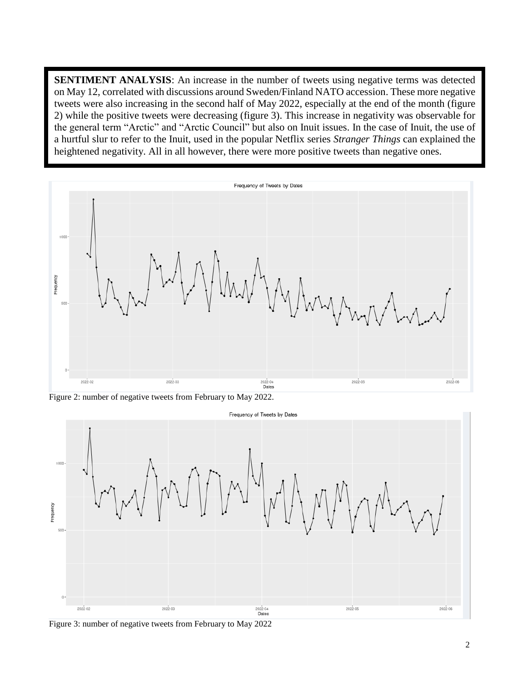**SENTIMENT ANALYSIS:** An increase in the number of tweets using negative terms was detected on May 12, correlated with discussions around Sweden/Finland NATO accession. These more negative tweets were also increasing in the second half of May 2022, especially at the end of the month (figure 2) while the positive tweets were decreasing (figure 3). This increase in negativity was observable for the general term "Arctic" and "Arctic Council" but also on Inuit issues. In the case of Inuit, the use of a hurtful slur to refer to the Inuit, used in the popular Netflix series *Stranger Things* can explained the heightened negativity. All in all however, there were more positive tweets than negative ones.



Figure 2: number of negative tweets from February to May 2022.



Figure 3: number of negative tweets from February to May 2022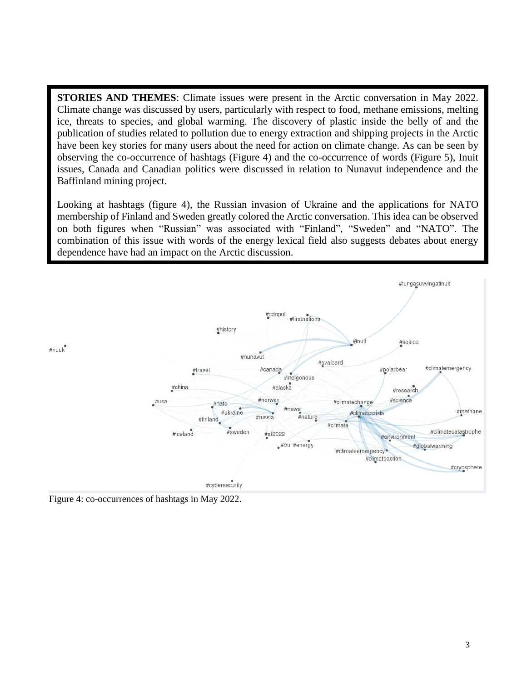**STORIES AND THEMES**: Climate issues were present in the Arctic conversation in May 2022. Climate change was discussed by users, particularly with respect to food, methane emissions, melting ice, threats to species, and global warming. The discovery of plastic inside the belly of and the publication of studies related to pollution due to energy extraction and shipping projects in the Arctic have been key stories for many users about the need for action on climate change. As can be seen by observing the co-occurrence of hashtags (Figure 4) and the co-occurrence of words (Figure 5), Inuit issues, Canada and Canadian politics were discussed in relation to Nunavut independence and the Baffinland mining project.

Looking at hashtags (figure 4), the Russian invasion of Ukraine and the applications for NATO membership of Finland and Sweden greatly colored the Arctic conversation. This idea can be observed on both figures when "Russian" was associated with "Finland", "Sweden" and "NATO". The combination of this issue with words of the energy lexical field also suggests debates about energy dependence have had an impact on the Arctic discussion.



Figure 4: co-occurrences of hashtags in May 2022.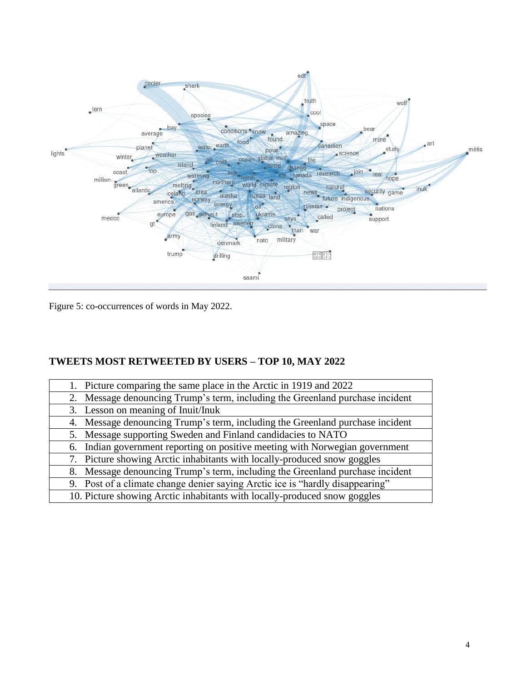

Figure 5: co-occurrences of words in May 2022.

## **TWEETS MOST RETWEETED BY USERS – TOP 10, MAY 2022**

| 1. Picture comparing the same place in the Arctic in 1919 and 2022            |
|-------------------------------------------------------------------------------|
| 2. Message denouncing Trump's term, including the Greenland purchase incident |
| 3. Lesson on meaning of Inuit/Inuk                                            |
| 4. Message denouncing Trump's term, including the Greenland purchase incident |
| 5. Message supporting Sweden and Finland candidacies to NATO                  |
| 6. Indian government reporting on positive meeting with Norwegian government  |
| 7. Picture showing Arctic inhabitants with locally-produced snow goggles      |
| 8. Message denouncing Trump's term, including the Greenland purchase incident |
| 9. Post of a climate change denier saying Arctic ice is "hardly disappearing" |
| 10. Picture showing Arctic inhabitants with locally-produced snow goggles     |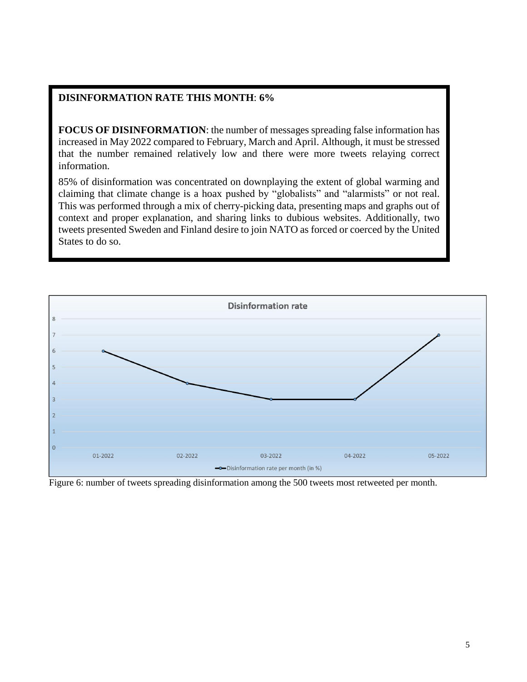#### **DISINFORMATION RATE THIS MONTH**: **6%**

**FOCUS OF DISINFORMATION**: the number of messages spreading false information has increased in May 2022 compared to February, March and April. Although, it must be stressed that the number remained relatively low and there were more tweets relaying correct information.

85% of disinformation was concentrated on downplaying the extent of global warming and claiming that climate change is a hoax pushed by "globalists" and "alarmists" or not real. This was performed through a mix of cherry-picking data, presenting maps and graphs out of context and proper explanation, and sharing links to dubious websites. Additionally, two tweets presented Sweden and Finland desire to join NATO as forced or coerced by the United States to do so.



Figure 6: number of tweets spreading disinformation among the 500 tweets most retweeted per month.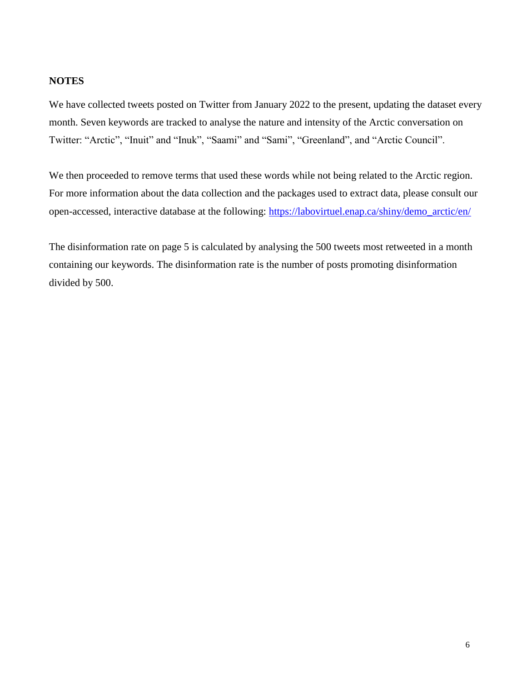### **NOTES**

We have collected tweets posted on Twitter from January 2022 to the present, updating the dataset every month. Seven keywords are tracked to analyse the nature and intensity of the Arctic conversation on Twitter: "Arctic", "Inuit" and "Inuk", "Saami" and "Sami", "Greenland", and "Arctic Council".

We then proceeded to remove terms that used these words while not being related to the Arctic region. For more information about the data collection and the packages used to extract data, please consult our open-accessed, interactive database at the following: [https://labovirtuel.enap.ca/shiny/demo\\_arctic/en/](https://labovirtuel.enap.ca/shiny/demo_arctic/en/)

The disinformation rate on page 5 is calculated by analysing the 500 tweets most retweeted in a month containing our keywords. The disinformation rate is the number of posts promoting disinformation divided by 500.